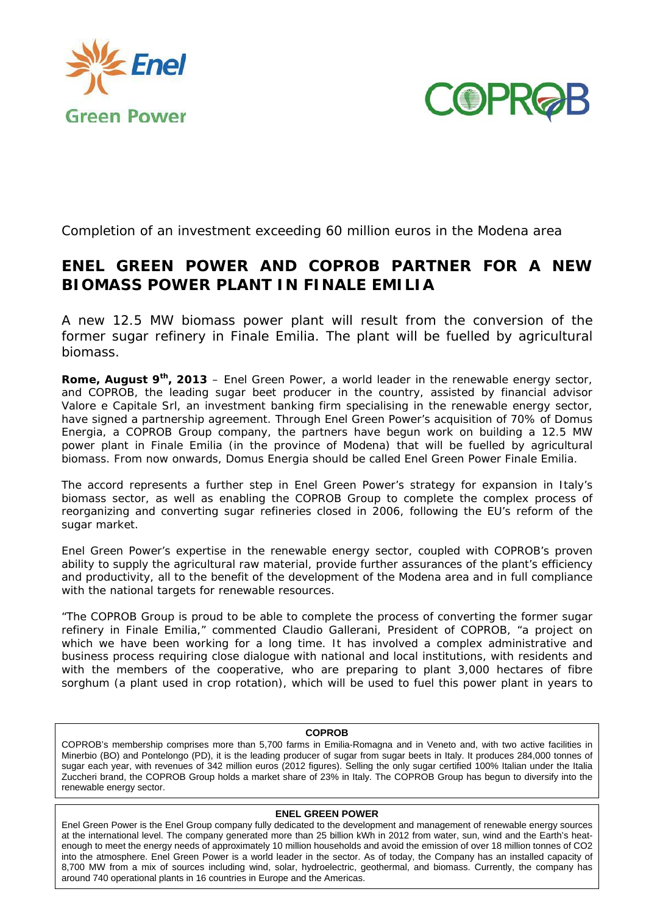



Completion of an investment exceeding 60 million euros in the Modena area

# **ENEL GREEN POWER AND COPROB PARTNER FOR A NEW BIOMASS POWER PLANT IN FINALE EMILIA**

*A new 12.5 MW biomass power plant will result from the conversion of the*  former sugar refinery in Finale Emilia. The plant will be fuelled by agricultural *biomass.* 

**Rome, August 9th, 2013** – Enel Green Power, a world leader in the renewable energy sector, and COPROB, the leading sugar beet producer in the country, assisted by financial advisor Valore e Capitale Srl, an investment banking firm specialising in the renewable energy sector, have signed a partnership agreement. Through Enel Green Power's acquisition of 70% of Domus Energia, a COPROB Group company, the partners have begun work on building a 12.5 MW power plant in Finale Emilia (in the province of Modena) that will be fuelled by agricultural biomass. From now onwards, Domus Energia should be called Enel Green Power Finale Emilia.

The accord represents a further step in Enel Green Power's strategy for expansion in Italy's biomass sector, as well as enabling the COPROB Group to complete the complex process of reorganizing and converting sugar refineries closed in 2006, following the EU's reform of the sugar market.

Enel Green Power's expertise in the renewable energy sector, coupled with COPROB's proven ability to supply the agricultural raw material, provide further assurances of the plant's efficiency and productivity, all to the benefit of the development of the Modena area and in full compliance with the national targets for renewable resources.

*"The COPROB Group is proud to be able to complete the process of converting the former sugar refinery in Finale Emilia," commented* Claudio Gallerani, President of COPROB, *"a project on which we have been working for a long time. It has involved a complex administrative and business process requiring close dialogue with national and local institutions, with residents and*  with the members of the cooperative, who are preparing to plant 3,000 hectares of fibre *sorghum (a plant used in crop rotation), which will be used to fuel this power plant in years to* 

## **COPROB**

COPROB's membership comprises more than 5,700 farms in Emilia-Romagna and in Veneto and, with two active facilities in Minerbio (BO) and Pontelongo (PD), it is the leading producer of sugar from sugar beets in Italy. It produces 284,000 tonnes of sugar each year, with revenues of 342 million euros (2012 figures). Selling the only sugar certified 100% Italian under the Italia Zuccheri brand, the COPROB Group holds a market share of 23% in Italy. The COPROB Group has begun to diversify into the renewable energy sector.

## **ENEL GREEN POWER**

Enel Green Power is the Enel Group company fully dedicated to the development and management of renewable energy sources at the international level. The company generated more than 25 billion kWh in 2012 from water, sun, wind and the Earth's heatenough to meet the energy needs of approximately 10 million households and avoid the emission of over 18 million tonnes of CO2 into the atmosphere. Enel Green Power is a world leader in the sector. As of today, the Company has an installed capacity of 8,700 MW from a mix of sources including wind, solar, hydroelectric, geothermal, and biomass. Currently, the company has around 740 operational plants in 16 countries in Europe and the Americas.